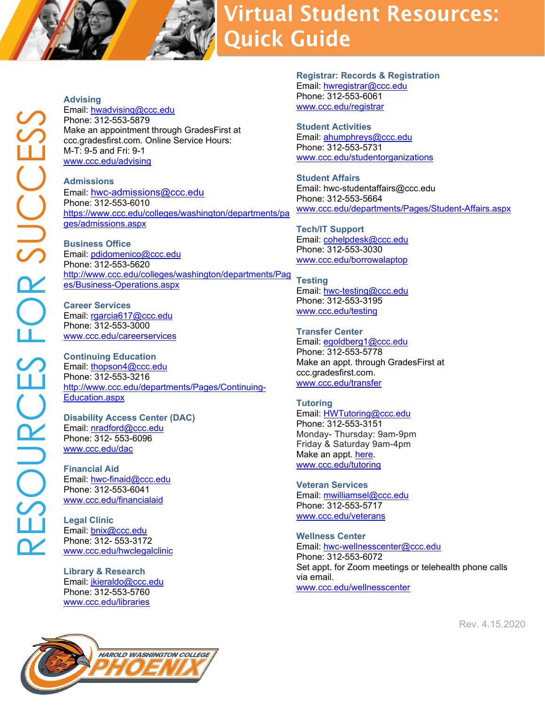## **Virtual Student Resources: Quick Guide**

**Advising** Email: [hwadvising@ccc.edu](mailto:hwadvising@ccc.edu) Phone: 312-553-5879 Make an appointment through GradesFirst at ccc.gradesfirst.com. Online Service Hours: M-T: 9-5 and Fri: 9-1 [www.ccc.edu/advising](http://www.ccc.edu/advising)

**Admissions** Email: [hwc-admissions@ccc.edu](mailto:hwc-admissions@ccc.edu)  Phone: 312-553-6010 [https://www.ccc.edu/colleges/washington/departments/pa](https://www.ccc.edu/colleges/washington/departments/pages/admissions.aspx) [ges/admissions.aspx](https://www.ccc.edu/colleges/washington/departments/pages/admissions.aspx)

**Business Office** Email: [pdidomenico@ccc.edu](mailto:pdidomenico@ccc.edu) Phone: 312-553-5620 [http://www.ccc.edu/colleges/washington/departments/Pag](http://www.ccc.edu/colleges/washington/departments/Pages/Business-Operations.aspx) [es/Business-Operations.aspx](http://www.ccc.edu/colleges/washington/departments/Pages/Business-Operations.aspx)

**Career Services** Email: [rgarcia617@ccc.edu](mailto:rgarcia617@ccc.edu) Phone: 312-553-3000 [www.ccc.edu/careerservices](http://www.ccc.edu/careerservices)

**Continuing Education** Email: [thopson4@ccc.edu](mailto:thopson4@ccc.edu) Phone: 312-553-3216 [http://www.ccc.edu/departments/Pages/Continuing-](http://www.ccc.edu/departments/Pages/Continuing-Education.aspx)[Education.aspx](http://www.ccc.edu/departments/Pages/Continuing-Education.aspx)

**Disability Access Center (DAC)** Email: [nradford@ccc.edu](mailto:nradford@ccc.edu) Phone: 312- 553-6096 [www.ccc.edu/dac](http://www.ccc.edu/dac)

**Financial Aid** Email: [hwc-finaid@ccc.edu](mailto:hwc-finaid@ccc.edu) Phone: 312-553-6041 [www.ccc.edu/financialaid](http://www.ccc.edu/financialaid)

**Legal Clinic** Email: [bnix@ccc.edu](mailto:bnix@ccc.edu) Phone: 312- 553-3172 [www.ccc.edu/hwclegalclinic](http://www.ccc.edu/hwclegalclinic)

**Library & Research** Email: [jkieraldo@ccc.edu](mailto:jkieraldo@ccc.edu) Phone: 312-553-5760 [www.ccc.edu/libraries](http://www.ccc.edu/libraries)



**Registrar: Records & Registration** Email: [hwregistrar@ccc.edu](mailto:hwregistrar@ccc.edu) Phone: 312-553-6061 [www.ccc.edu/registrar](http://www.ccc.edu/registrar)

**Student Activities** Email: [ahumphreys@ccc.edu](mailto:ahumphreys@ccc.edu) Phone: 312-553-5731 [www.ccc.edu/studentorganizations](http://www.ccc.edu/studentorganizations)

**Student Affairs** Email: hwc-studentaffairs@ccc.edu Phone: 312-553-5664 [www.ccc.edu/departments/Pages/Student-Affairs.aspx](http://www.ccc.edu/departments/Pages/Student-Affairs.aspx)

**Tech/IT Support** Email: [cohelpdesk@ccc.edu](mailto:cohelpdesk@ccc.edu) Phone: 312-553-3030 [www.ccc.edu/borrowalaptop](http://www.ccc.edu/borrowalaptop)

**Testing** Email: [hwc-testing@ccc.edu](mailto:hwc-testing@ccc.edu) Phone: 312-553-3195 [www.ccc.edu/testing](http://www.ccc.edu/testing)

**Transfer Center** Email: [egoldberg1@ccc.edu](mailto:egoldberg1@ccc.edu) Phone: 312-553-5778 Make an appt. through GradesFirst at ccc.gradesfirst.com. [www.ccc.edu/transfer](http://www.ccc.edu/transfer)

**Tutoring** Email: [HWTutoring@ccc.edu](mailto:HWTutoring@ccc.edu) Phone: 312-553-3151 Monday- Thursday: 9am-9pm Friday & Saturday 9am-4pm Make an appt. [here.](https://docs.google.com/forms/d/e/1FAIpQLSfTmner0GQRqL740mKWZwKzGFV359iXxkP0xCoQuaRMhmbibA/viewform) [www.ccc.edu/tutoring](http://www.ccc.edu/tutoring)

**Veteran Services** Email: [mwilliamsel@ccc.edu](mailto:mwilliamsel@ccc.edu) Phone: 312-553-5717 [www.ccc.edu/veterans](http://www.ccc.edu/veterans)

**Wellness Center** Email: [hwc-wellnesscenter@ccc.edu](mailto:hwc-wellnesscenter@ccc.edu) Phone: 312-553-6072 Set appt. for Zoom meetings or telehealth phone calls via email. [www.ccc.edu/wellnesscenter](http://www.ccc.edu/wellnesscenter)

Rev. 4.15.2020